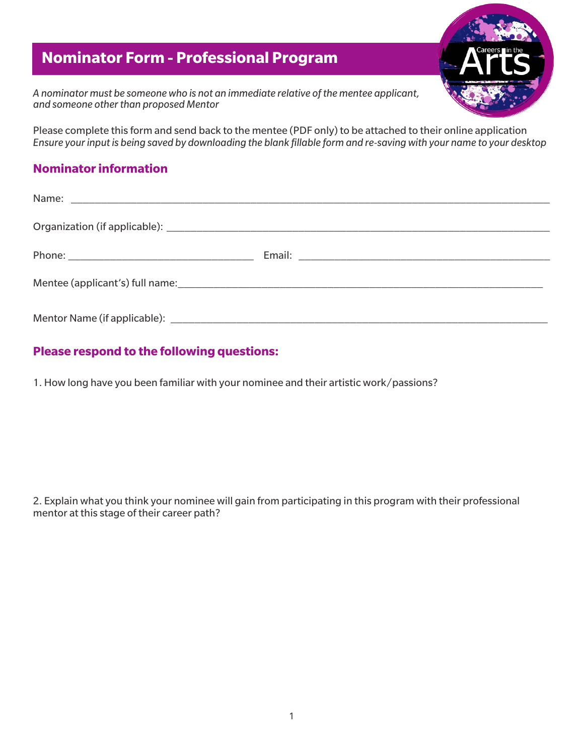## **Nominator Form - Professional Program**

*A nominator must be someone who is not an immediate relative of the mentee applicant, and someone other than proposed Mentor*

Please complete this form and send back to the mentee (PDF only) to be attached to their online application *Ensure your input is being saved by downloading the blank fillable form and re-saving with your name to your desktop*

## **Nominator information**

| Name: Name: Name: Name: Name: Name: Name: Name: Name: Name: Name: Name: Name: Name: Name: Name: Name: Name: Name: Name: Name: Name: Name: Name: Name: Name: Name: Name: Name: Name: Name: Name: Name: Name: Name: Name: Name: |  |
|-------------------------------------------------------------------------------------------------------------------------------------------------------------------------------------------------------------------------------|--|
|                                                                                                                                                                                                                               |  |
|                                                                                                                                                                                                                               |  |
|                                                                                                                                                                                                                               |  |
|                                                                                                                                                                                                                               |  |

## **Please respond to the following questions:**

1. How long have you been familiar with your nominee and their artistic work/passions?

2. Explain what you think your nominee will gain from participating in this program with their professional mentor at this stage of their career path?